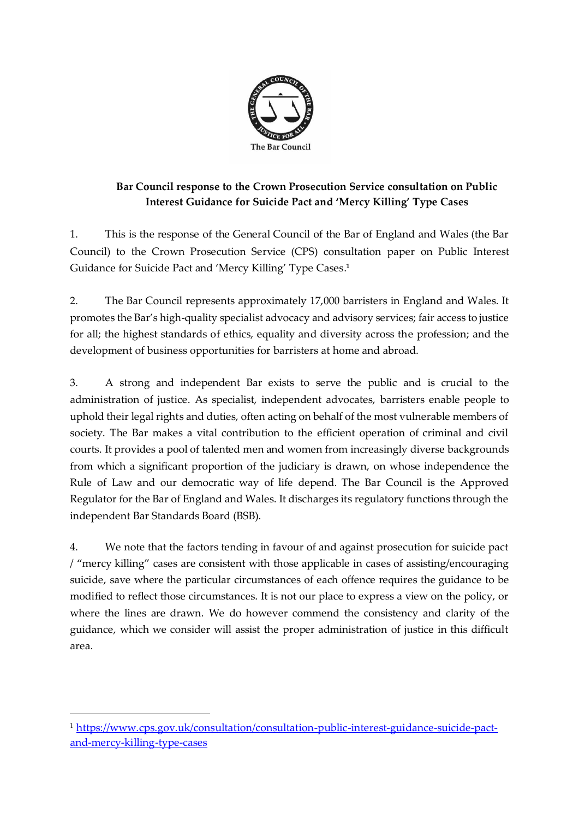

## **Bar Council response to the Crown Prosecution Service consultation on Public Interest Guidance for Suicide Pact and 'Mercy Killing' Type Cases**

1. This is the response of the General Council of the Bar of England and Wales (the Bar Council) to the Crown Prosecution Service (CPS) consultation paper on Public Interest Guidance for Suicide Pact and 'Mercy Killing' Type Cases. **1**

2. The Bar Council represents approximately 17,000 barristers in England and Wales. It promotes the Bar's high-quality specialist advocacy and advisory services; fair access to justice for all; the highest standards of ethics, equality and diversity across the profession; and the development of business opportunities for barristers at home and abroad.

3. A strong and independent Bar exists to serve the public and is crucial to the administration of justice. As specialist, independent advocates, barristers enable people to uphold their legal rights and duties, often acting on behalf of the most vulnerable members of society. The Bar makes a vital contribution to the efficient operation of criminal and civil courts. It provides a pool of talented men and women from increasingly diverse backgrounds from which a significant proportion of the judiciary is drawn, on whose independence the Rule of Law and our democratic way of life depend. The Bar Council is the Approved Regulator for the Bar of England and Wales. It discharges its regulatory functions through the independent Bar Standards Board (BSB).

4. We note that the factors tending in favour of and against prosecution for suicide pact / "mercy killing" cases are consistent with those applicable in cases of assisting/encouraging suicide, save where the particular circumstances of each offence requires the guidance to be modified to reflect those circumstances. It is not our place to express a view on the policy, or where the lines are drawn. We do however commend the consistency and clarity of the guidance, which we consider will assist the proper administration of justice in this difficult area.

<sup>1</sup> [https://www.cps.gov.uk/consultation/consultation-public-interest-guidance-suicide-pact](https://www.cps.gov.uk/consultation/consultation-public-interest-guidance-suicide-pact-and-mercy-killing-type-cases)[and-mercy-killing-type-cases](https://www.cps.gov.uk/consultation/consultation-public-interest-guidance-suicide-pact-and-mercy-killing-type-cases)